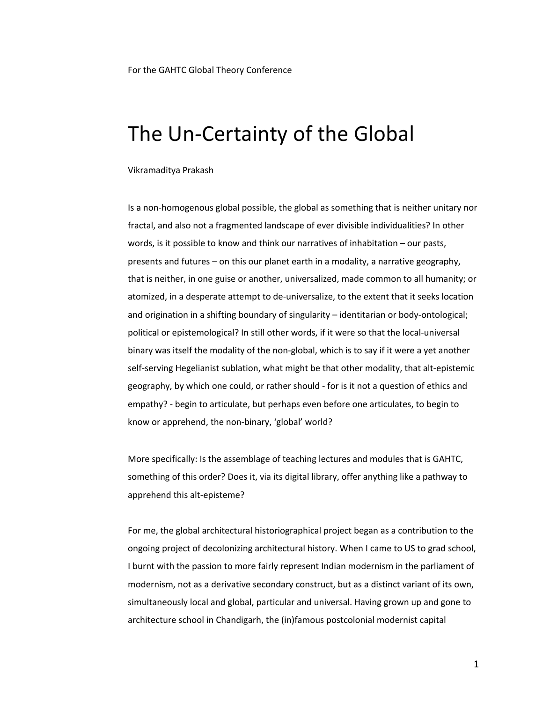For the GAHTC Global Theory Conference

## The Un-Certainty of the Global

Vikramaditya Prakash

Is a non-homogenous global possible, the global as something that is neither unitary nor fractal, and also not a fragmented landscape of ever divisible individualities? In other words, is it possible to know and think our narratives of inhabitation – our pasts, presents and futures – on this our planet earth in a modality, a narrative geography, that is neither, in one guise or another, universalized, made common to all humanity; or atomized, in a desperate attempt to de-universalize, to the extent that it seeks location and origination in a shifting boundary of singularity – identitarian or body-ontological; political or epistemological? In still other words, if it were so that the local-universal binary was itself the modality of the non-global, which is to say if it were a yet another self-serving Hegelianist sublation, what might be that other modality, that alt-epistemic geography, by which one could, or rather should - for is it not a question of ethics and empathy? - begin to articulate, but perhaps even before one articulates, to begin to know or apprehend, the non-binary, 'global' world?

More specifically: Is the assemblage of teaching lectures and modules that is GAHTC, something of this order? Does it, via its digital library, offer anything like a pathway to apprehend this alt-episteme?

For me, the global architectural historiographical project began as a contribution to the ongoing project of decolonizing architectural history. When I came to US to grad school, I burnt with the passion to more fairly represent Indian modernism in the parliament of modernism, not as a derivative secondary construct, but as a distinct variant of its own, simultaneously local and global, particular and universal. Having grown up and gone to architecture school in Chandigarh, the (in)famous postcolonial modernist capital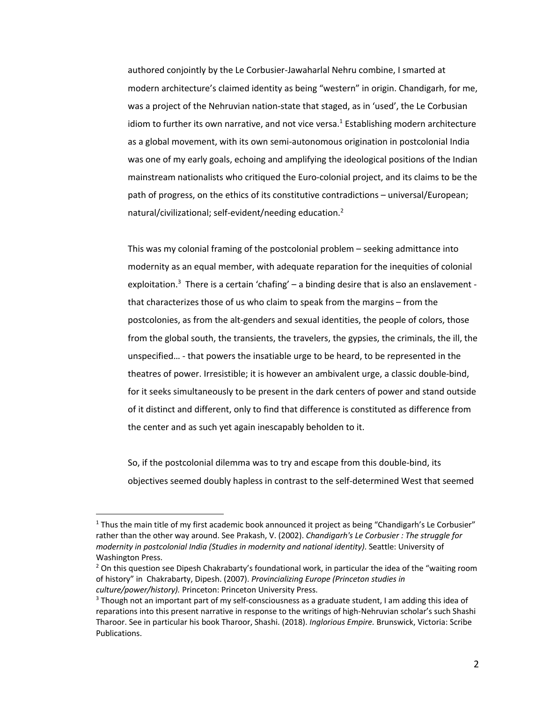authored conjointly by the Le Corbusier-Jawaharlal Nehru combine, I smarted at modern architecture's claimed identity as being "western" in origin. Chandigarh, for me, was a project of the Nehruvian nation-state that staged, as in 'used', the Le Corbusian idiom to further its own narrative, and not vice versa. $1$  Establishing modern architecture as a global movement, with its own semi-autonomous origination in postcolonial India was one of my early goals, echoing and amplifying the ideological positions of the Indian mainstream nationalists who critiqued the Euro-colonial project, and its claims to be the path of progress, on the ethics of its constitutive contradictions – universal/European; natural/civilizational; self-evident/needing education.<sup>2</sup>

This was my colonial framing of the postcolonial problem – seeking admittance into modernity as an equal member, with adequate reparation for the inequities of colonial exploitation.<sup>3</sup> There is a certain 'chafing' – a binding desire that is also an enslavement that characterizes those of us who claim to speak from the margins – from the postcolonies, as from the alt-genders and sexual identities, the people of colors, those from the global south, the transients, the travelers, the gypsies, the criminals, the ill, the unspecified… - that powers the insatiable urge to be heard, to be represented in the theatres of power. Irresistible; it is however an ambivalent urge, a classic double-bind, for it seeks simultaneously to be present in the dark centers of power and stand outside of it distinct and different, only to find that difference is constituted as difference from the center and as such yet again inescapably beholden to it.

So, if the postcolonial dilemma was to try and escape from this double-bind, its objectives seemed doubly hapless in contrast to the self-determined West that seemed

 $1$  Thus the main title of my first academic book announced it project as being "Chandigarh's Le Corbusier" rather than the other way around. See Prakash, V. (2002). *Chandigarh's Le Corbusier : The struggle for modernity in postcolonial India (Studies in modernity and national identity)*. Seattle: University of Washington Press.

 $2$  On this question see Dipesh Chakrabarty's foundational work, in particular the idea of the "waiting room of history" in Chakrabarty, Dipesh. (2007). *Provincializing Europe (Princeton studies in culture/power/history).* Princeton: Princeton University Press.

 $3$  Though not an important part of my self-consciousness as a graduate student, I am adding this idea of reparations into this present narrative in response to the writings of high-Nehruvian scholar's such Shashi Tharoor. See in particular his book Tharoor, Shashi. (2018). *Inglorious Empire.* Brunswick, Victoria: Scribe Publications.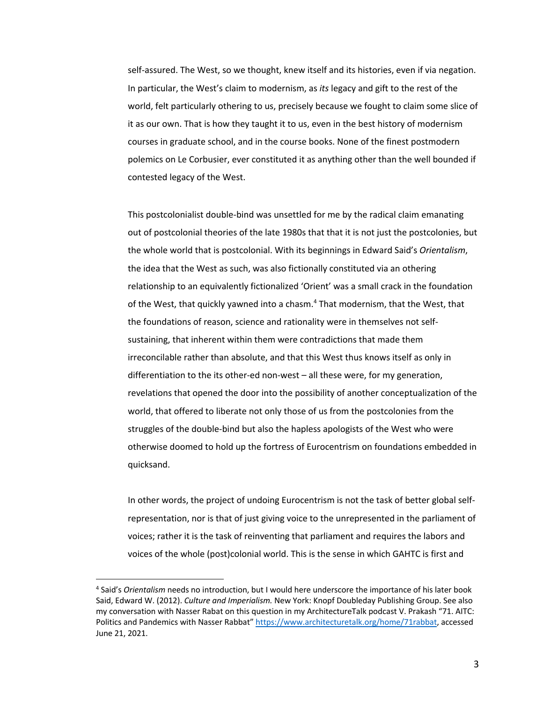self-assured. The West, so we thought, knew itself and its histories, even if via negation. In particular, the West's claim to modernism, as *its* legacy and gift to the rest of the world, felt particularly othering to us, precisely because we fought to claim some slice of it as our own. That is how they taught it to us, even in the best history of modernism courses in graduate school, and in the course books. None of the finest postmodern polemics on Le Corbusier, ever constituted it as anything other than the well bounded if contested legacy of the West.

This postcolonialist double-bind was unsettled for me by the radical claim emanating out of postcolonial theories of the late 1980s that that it is not just the postcolonies, but the whole world that is postcolonial. With its beginnings in Edward Said's *Orientalism*, the idea that the West as such, was also fictionally constituted via an othering relationship to an equivalently fictionalized 'Orient' was a small crack in the foundation of the West, that quickly yawned into a chasm.4 That modernism, that the West, that the foundations of reason, science and rationality were in themselves not selfsustaining, that inherent within them were contradictions that made them irreconcilable rather than absolute, and that this West thus knows itself as only in differentiation to the its other-ed non-west – all these were, for my generation, revelations that opened the door into the possibility of another conceptualization of the world, that offered to liberate not only those of us from the postcolonies from the struggles of the double-bind but also the hapless apologists of the West who were otherwise doomed to hold up the fortress of Eurocentrism on foundations embedded in quicksand.

In other words, the project of undoing Eurocentrism is not the task of better global selfrepresentation, nor is that of just giving voice to the unrepresented in the parliament of voices; rather it is the task of reinventing that parliament and requires the labors and voices of the whole (post)colonial world. This is the sense in which GAHTC is first and

<sup>4</sup> Said's *Orientalism* needs no introduction, but I would here underscore the importance of his later book Said, Edward W. (2012). *Culture and Imperialism.* New York: Knopf Doubleday Publishing Group. See also my conversation with Nasser Rabat on this question in my ArchitectureTalk podcast V. Prakash "71. AITC: Politics and Pandemics with Nasser Rabbat" https://www.architecturetalk.org/home/71rabbat, accessed June 21, 2021.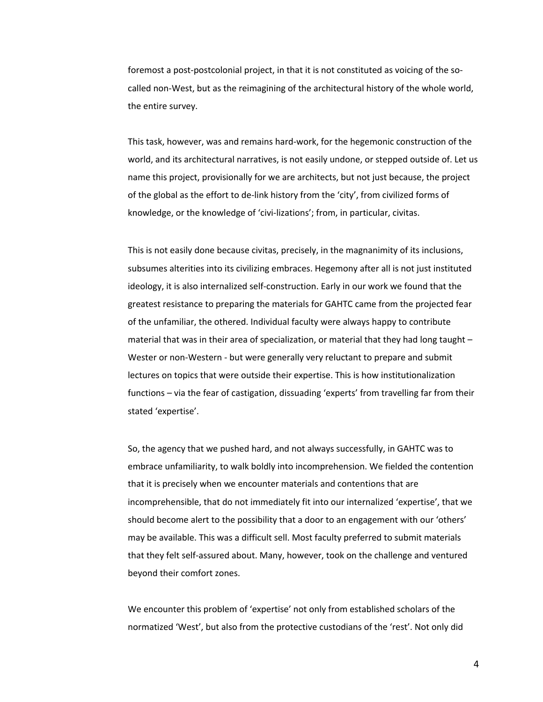foremost a post-postcolonial project, in that it is not constituted as voicing of the socalled non-West, but as the reimagining of the architectural history of the whole world, the entire survey.

This task, however, was and remains hard-work, for the hegemonic construction of the world, and its architectural narratives, is not easily undone, or stepped outside of. Let us name this project, provisionally for we are architects, but not just because, the project of the global as the effort to de-link history from the 'city', from civilized forms of knowledge, or the knowledge of 'civi-lizations'; from, in particular, civitas.

This is not easily done because civitas, precisely, in the magnanimity of its inclusions, subsumes alterities into its civilizing embraces. Hegemony after all is not just instituted ideology, it is also internalized self-construction. Early in our work we found that the greatest resistance to preparing the materials for GAHTC came from the projected fear of the unfamiliar, the othered. Individual faculty were always happy to contribute material that was in their area of specialization, or material that they had long taught – Wester or non-Western - but were generally very reluctant to prepare and submit lectures on topics that were outside their expertise. This is how institutionalization functions – via the fear of castigation, dissuading 'experts' from travelling far from their stated 'expertise'.

So, the agency that we pushed hard, and not always successfully, in GAHTC was to embrace unfamiliarity, to walk boldly into incomprehension. We fielded the contention that it is precisely when we encounter materials and contentions that are incomprehensible, that do not immediately fit into our internalized 'expertise', that we should become alert to the possibility that a door to an engagement with our 'others' may be available. This was a difficult sell. Most faculty preferred to submit materials that they felt self-assured about. Many, however, took on the challenge and ventured beyond their comfort zones.

We encounter this problem of 'expertise' not only from established scholars of the normatized 'West', but also from the protective custodians of the 'rest'. Not only did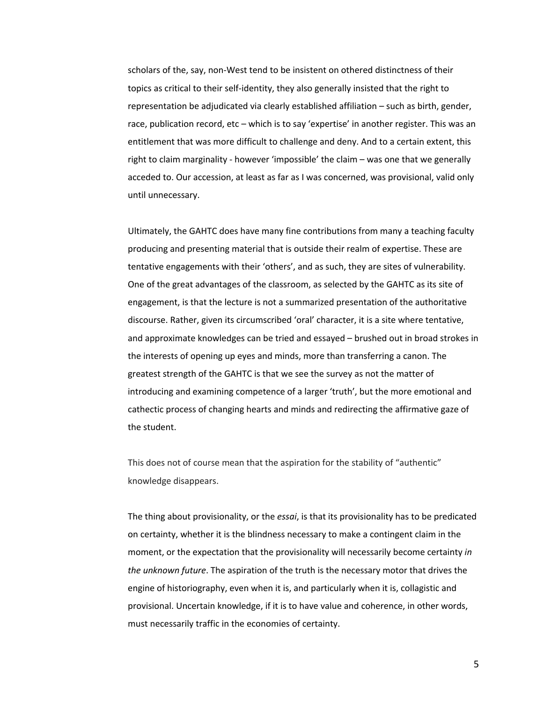scholars of the, say, non-West tend to be insistent on othered distinctness of their topics as critical to their self-identity, they also generally insisted that the right to representation be adjudicated via clearly established affiliation – such as birth, gender, race, publication record, etc – which is to say 'expertise' in another register. This was an entitlement that was more difficult to challenge and deny. And to a certain extent, this right to claim marginality - however 'impossible' the claim – was one that we generally acceded to. Our accession, at least as far as I was concerned, was provisional, valid only until unnecessary.

Ultimately, the GAHTC does have many fine contributions from many a teaching faculty producing and presenting material that is outside their realm of expertise. These are tentative engagements with their 'others', and as such, they are sites of vulnerability. One of the great advantages of the classroom, as selected by the GAHTC as its site of engagement, is that the lecture is not a summarized presentation of the authoritative discourse. Rather, given its circumscribed 'oral' character, it is a site where tentative, and approximate knowledges can be tried and essayed – brushed out in broad strokes in the interests of opening up eyes and minds, more than transferring a canon. The greatest strength of the GAHTC is that we see the survey as not the matter of introducing and examining competence of a larger 'truth', but the more emotional and cathectic process of changing hearts and minds and redirecting the affirmative gaze of the student.

This does not of course mean that the aspiration for the stability of "authentic" knowledge disappears.

The thing about provisionality, or the *essai*, is that its provisionality has to be predicated on certainty, whether it is the blindness necessary to make a contingent claim in the moment, or the expectation that the provisionality will necessarily become certainty *in the unknown future*. The aspiration of the truth is the necessary motor that drives the engine of historiography, even when it is, and particularly when it is, collagistic and provisional. Uncertain knowledge, if it is to have value and coherence, in other words, must necessarily traffic in the economies of certainty.